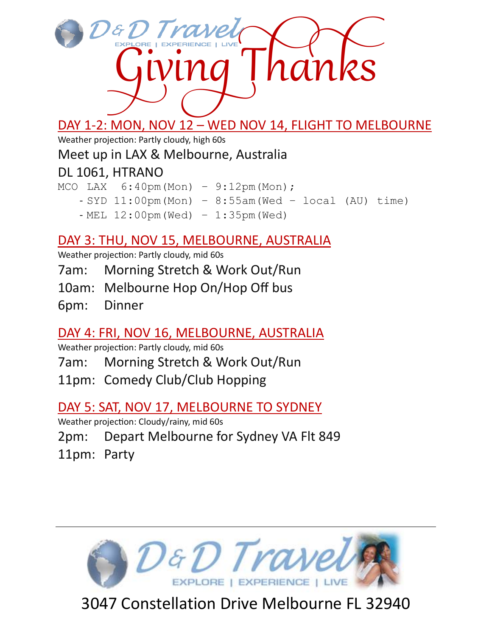

# DAY 1-2: MON, NOV 12 – WED NOV 14, FLIGHT TO MELBOURNE

Weather projection: Partly cloudy, high 60s

#### Meet up in LAX & Melbourne, Australia

## DL 1061, HTRANO

MCO LAX 6:40pm(Mon) – 9:12pm(Mon);

- $-$  SYD 11:00pm(Mon) 8:55am(Wed local (AU) time)
	- MEL 12:00pm(Wed) 1:35pm(Wed)

## DAY 3: THU, NOV 15, MELBOURNE, AUSTRALIA

Weather projection: Partly cloudy, mid 60s

- 7am: Morning Stretch & Work Out/Run
- 10am: Melbourne Hop On/Hop Off bus
- 6pm: Dinner

## DAY 4: FRI, NOV 16, MELBOURNE, AUSTRALIA

Weather projection: Partly cloudy, mid 60s

- 7am: Morning Stretch & Work Out/Run
- 11pm: Comedy Club/Club Hopping

## DAY 5: SAT, NOV 17, MELBOURNE TO SYDNEY

Weather projection: Cloudy/rainy, mid 60s

2pm: Depart Melbourne for Sydney VA Flt 849

11pm: Party



3047 Constellation Drive Melbourne FL 32940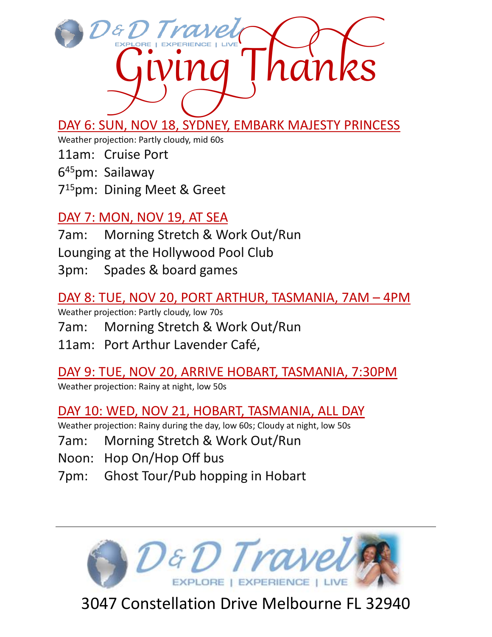

DAY 6: SUN, NOV 18, SYDNEY, EMBARK MAJESTY PRINCESS

Weather projection: Partly cloudy, mid 60s

11am: Cruise Port

645pm: Sailaway

715pm: Dining Meet & Greet

#### DAY 7: MON, NOV 19, AT SEA

7am: Morning Stretch & Work Out/Run Lounging at the Hollywood Pool Club 3pm: Spades & board games

#### DAY 8: TUE, NOV 20, PORT ARTHUR, TASMANIA, 7AM – 4PM

Weather projection: Partly cloudy, low 70s

7am: Morning Stretch & Work Out/Run

11am: Port Arthur Lavender Café,

DAY 9: TUE, NOV 20, ARRIVE HOBART, TASMANIA, 7:30PM

Weather projection: Rainy at night, low 50s

DAY 10: WED, NOV 21, HOBART, TASMANIA, ALL DAY

Weather projection: Rainy during the day, low 60s; Cloudy at night, low 50s

7am: Morning Stretch & Work Out/Run

Noon: Hop On/Hop Off bus

7pm: Ghost Tour/Pub hopping in Hobart



3047 Constellation Drive Melbourne FL 32940